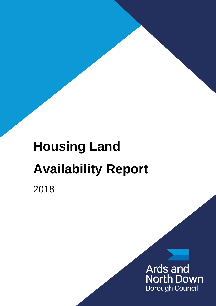# **Housing Land Availability Report**

2018

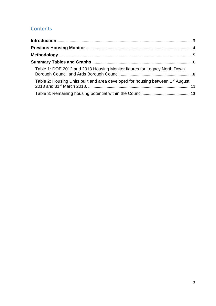## Contents

| Table 1: DOE 2012 and 2013 Housing Monitor figures for Legacy North Down                   |  |
|--------------------------------------------------------------------------------------------|--|
| Table 2: Housing Units built and area developed for housing between 1 <sup>st</sup> August |  |
|                                                                                            |  |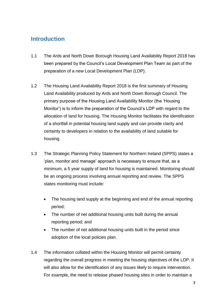#### <span id="page-2-0"></span>**Introduction**

- 1.1 The Ards and North Down Borough Housing Land Availability Report 2018 has been prepared by the Council's Local Development Plan Team as part of the preparation of a new Local Development Plan (LDP).
- 1.2 The Housing Land Availability Report 2018 is the first summary of Housing Land Availability produced by Ards and North Down Borough Council. The primary purpose of the Housing Land Availability Monitor (the 'Housing Monitor') is to inform the preparation of the Council's LDP with regard to the allocation of land for housing. The Housing Monitor facilitates the identification of a shortfall in potential housing land supply and can provide clarity and certainty to developers in relation to the availability of land suitable for housing.
- 1.3 The Strategic Planning Policy Statement for Northern Ireland (SPPS) states a 'plan, monitor and manage' approach is necessary to ensure that, as a minimum, a 5 year supply of land for housing is maintained. Monitoring should be an ongoing process involving annual reporting and review. The SPPS states monitoring must include:
	- The housing land supply at the beginning and end of the annual reporting period;
	- The number of net additional housing units built during the annual reporting period; and
	- The number of net additional housing units built in the period since adoption of the local policies plan.
- 1.4 The information collated within the Housing Monitor will permit certainty regarding the overall progress in meeting the housing objectives of the LDP. It will also allow for the identification of any issues likely to require intervention. For example, the need to release phased housing sites in order to maintain a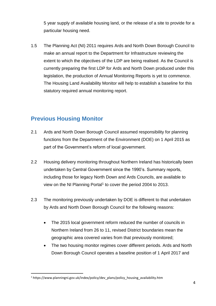5 year supply of available housing land, or the release of a site to provide for a particular housing need.

1.5 The Planning Act (NI) 2011 requires Ards and North Down Borough Council to make an annual report to the Department for Infrastructure reviewing the extent to which the objectives of the LDP are being realised. As the Council is currently preparing the first LDP for Ards and North Down produced under this legislation, the production of Annual Monitoring Reports is yet to commence. The Housing Land Availability Monitor will help to establish a baseline for this statutory required annual monitoring report.

## <span id="page-3-0"></span>**Previous Housing Monitor**

- 2.1 Ards and North Down Borough Council assumed responsibility for planning functions from the Department of the Environment (DOE) on 1 April 2015 as part of the Government's reform of local government.
- 2.2 Housing delivery monitoring throughout Northern Ireland has historically been undertaken by Central Government since the 1990's. Summary reports, including those for legacy North Down and Ards Councils, are available to view on the NI Planning Portal<sup>1</sup> to cover the period 2004 to 2013.
- 2.3 The monitoring previously undertaken by DOE is different to that undertaken by Ards and North Down Borough Council for the following reasons:
	- The 2015 local government reform reduced the number of councils in Northern Ireland from 26 to 11, revised District boundaries mean the geographic area covered varies from that previously monitored;
	- The two housing monitor regimes cover different periods. Ards and North Down Borough Council operates a baseline position of 1 April 2017 and

<u>.</u>

<sup>1</sup> https://www.planningni.gov.uk/index/policy/dev\_plans/policy\_housing\_availability.htm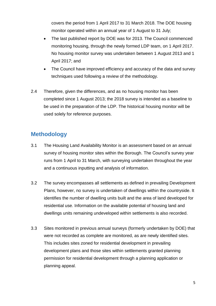covers the period from 1 April 2017 to 31 March 2018. The DOE housing monitor operated within an annual year of 1 August to 31 July;

- The last published report by DOE was for 2013. The Council commenced monitoring housing, through the newly formed LDP team, on 1 April 2017. No housing monitor survey was undertaken between 1 August 2013 and 1 April 2017; and
- The Council have improved efficiency and accuracy of the data and survey techniques used following a review of the methodology.
- 2.4 Therefore, given the differences, and as no housing monitor has been completed since 1 August 2013; the 2018 survey is intended as a baseline to be used in the preparation of the LDP. The historical housing monitor will be used solely for reference purposes.

# <span id="page-4-0"></span>**Methodology**

- 3.1 The Housing Land Availability Monitor is an assessment based on an annual survey of housing monitor sites within the Borough. The Council's survey year runs from 1 April to 31 March, with surveying undertaken throughout the year and a continuous inputting and analysis of information.
- 3.2 The survey encompasses all settlements as defined in prevailing Development Plans, however, no survey is undertaken of dwellings within the countryside. It identifies the number of dwelling units built and the area of land developed for residential use. Information on the available potential of housing land and dwellings units remaining undeveloped within settlements is also recorded.
- 3.3 Sites monitored in previous annual surveys (formerly undertaken by DOE) that were not recorded as complete are monitored, as are newly identified sites. This includes sites zoned for residential development in prevailing development plans and those sites within settlements granted planning permission for residential development through a planning application or planning appeal.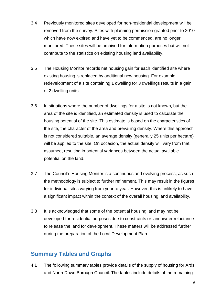- 3.4 Previously monitored sites developed for non-residential development will be removed from the survey. Sites with planning permission granted prior to 2010 which have now expired and have yet to be commenced, are no longer monitored. These sites will be archived for information purposes but will not contribute to the statistics on existing housing land availability.
- 3.5 The Housing Monitor records net housing gain for each identified site where existing housing is replaced by additional new housing. For example, redevelopment of a site containing 1 dwelling for 3 dwellings results in a gain of 2 dwelling units.
- 3.6 In situations where the number of dwellings for a site is not known, but the area of the site is identified, an estimated density is used to calculate the housing potential of the site. This estimate is based on the characteristics of the site, the character of the area and prevailing density. Where this approach is not considered suitable, an average density (generally 25 units per hectare) will be applied to the site. On occasion, the actual density will vary from that assumed, resulting in potential variances between the actual available potential on the land.
- 3.7 The Council's Housing Monitor is a continuous and evolving process, as such the methodology is subject to further refinement. This may result in the figures for individual sites varying from year to year. However, this is unlikely to have a significant impact within the context of the overall housing land availability.
- 3.8 It is acknowledged that some of the potential housing land may not be developed for residential purposes due to constraints or landowner reluctance to release the land for development. These matters will be addressed further during the preparation of the Local Development Plan.

#### <span id="page-5-0"></span>**Summary Tables and Graphs**

4.1 The following summary tables provide details of the supply of housing for Ards and North Down Borough Council. The tables include details of the remaining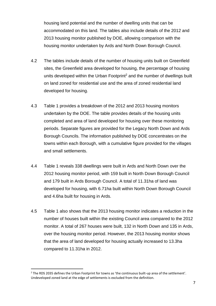housing land potential and the number of dwelling units that can be accommodated on this land. The tables also include details of the 2012 and 2013 housing monitor published by DOE, allowing comparison with the housing monitor undertaken by Ards and North Down Borough Council.

- 4.2 The tables include details of the number of housing units built on Greenfield sites, the Greenfield area developed for housing, the percentage of housing units developed within the Urban Footprint<sup>2</sup> and the number of dwellings built on land zoned for residential use and the area of zoned residential land developed for housing.
- 4.3 Table 1 provides a breakdown of the 2012 and 2013 housing monitors undertaken by the DOE. The table provides details of the housing units completed and area of land developed for housing over these monitoring periods. Separate figures are provided for the Legacy North Down and Ards Borough Councils. The information published by DOE concentrates on the towns within each Borough, with a cumulative figure provided for the villages and small settlements.
- 4.4 Table 1 reveals 338 dwellings were built in Ards and North Down over the 2012 housing monitor period, with 159 built in North Down Borough Council and 179 built in Ards Borough Council. A total of 11.31ha of land was developed for housing, with 6.71ha built within North Down Borough Council and 4.6ha built for housing in Ards.
- 4.5 Table 1 also shows that the 2013 housing monitor indicates a reduction in the number of houses built within the existing Council area compared to the 2012 monitor. A total of 267 houses were built, 132 in North Down and 135 in Ards, over the housing monitor period. However, the 2013 housing monitor shows that the area of land developed for housing actually increased to 13.3ha compared to 11.31ha in 2012.

<sup>&</sup>lt;u>.</u>  $2$  The RDS 2035 defines the Urban Footprint for towns as 'the continuous built-up area of the settlement'. Undeveloped zoned land at the edge of settlements is excluded from the definition.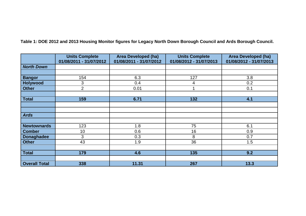<span id="page-7-0"></span>

|                      | <b>Units Complete</b><br>01/08/2011 - 31/07/2012 | <b>Area Developed (ha)</b><br>01/08/2011 - 31/07/2012 | <b>Units Complete</b><br>01/08/2012 - 31/07/2013 | <b>Area Developed (ha)</b><br>01/08/2012 - 31/07/2013 |  |
|----------------------|--------------------------------------------------|-------------------------------------------------------|--------------------------------------------------|-------------------------------------------------------|--|
| <b>North Down</b>    |                                                  |                                                       |                                                  |                                                       |  |
|                      |                                                  |                                                       |                                                  |                                                       |  |
| <b>Bangor</b>        | 154                                              | 6.3                                                   | 127                                              | 3.8                                                   |  |
| <b>Holywood</b>      | 3                                                | 0.4                                                   | 4                                                | 0.2                                                   |  |
| <b>Other</b>         | $\overline{2}$                                   | 0.01                                                  |                                                  | 0.1                                                   |  |
|                      |                                                  |                                                       |                                                  |                                                       |  |
| <b>Total</b>         | 159                                              | 6.71                                                  | 132                                              | 4.1                                                   |  |
|                      |                                                  |                                                       |                                                  |                                                       |  |
|                      |                                                  |                                                       |                                                  |                                                       |  |
| <b>Ards</b>          |                                                  |                                                       |                                                  |                                                       |  |
|                      |                                                  |                                                       |                                                  |                                                       |  |
| <b>Newtownards</b>   | 123                                              | 1.8                                                   | 75                                               | 6.1                                                   |  |
| <b>Comber</b>        | 10                                               | 0.6                                                   | 16                                               | 0.9                                                   |  |
| <b>Donaghadee</b>    | 3                                                | 0.3                                                   | 8                                                | 0.7                                                   |  |
| <b>Other</b>         | 43                                               | 1.9                                                   | 36                                               | 1.5                                                   |  |
|                      |                                                  |                                                       |                                                  |                                                       |  |
| <b>Total</b>         | 179                                              | 4.6                                                   | 135                                              | 9.2                                                   |  |
|                      |                                                  |                                                       |                                                  |                                                       |  |
| <b>Overall Total</b> | 338                                              | 11.31                                                 | 267                                              | 13.3                                                  |  |

**Table 1: DOE 2012 and 2013 Housing Monitor figures for Legacy North Down Borough Council and Ards Borough Council.**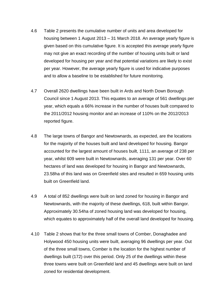- 4.6 Table 2 presents the cumulative number of units and area developed for housing between 1 August 2013 – 31 March 2018. An average yearly figure is given based on this cumulative figure. It is accepted this average yearly figure may not give an exact recording of the number of housing units built or land developed for housing per year and that potential variations are likely to exist per year. However, the average yearly figure is used for indicative purposes and to allow a baseline to be established for future monitoring.
- 4.7 Overall 2620 dwellings have been built in Ards and North Down Borough Council since 1 August 2013. This equates to an average of 561 dwellings per year, which equals a 66% increase in the number of houses built compared to the 2011/2012 housing monitor and an increase of 110% on the 2012/2013 reported figure.
- 4.8 The large towns of Bangor and Newtownards, as expected, are the locations for the majority of the houses built and land developed for housing. Bangor accounted for the largest amount of houses built, 1111, an average of 238 per year, whilst 609 were built in Newtownards, averaging 131 per year. Over 60 hectares of land was developed for housing in Bangor and Newtownards, 23.58ha of this land was on Greenfield sites and resulted in 659 housing units built on Greenfield land.
- 4.9 A total of 852 dwellings were built on land zoned for housing in Bangor and Newtownards, with the majority of these dwellings, 618, built within Bangor. Approximately 30.54ha of zoned housing land was developed for housing, which equates to approximately half of the overall land developed for housing.
- 4.10 Table 2 shows that for the three small towns of Comber, Donaghadee and Holywood 450 housing units were built, averaging 96 dwellings per year. Out of the three small towns, Comber is the location for the highest number of dwellings built (172) over this period. Only 25 of the dwellings within these three towns were built on Greenfield land and 45 dwellings were built on land zoned for residential development.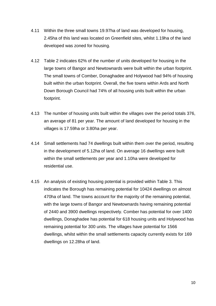- 4.11 Within the three small towns 19.97ha of land was developed for housing, 2.45ha of this land was located on Greenfield sites, whilst 1.19ha of the land developed was zoned for housing.
- 4.12 Table 2 indicates 62% of the number of units developed for housing in the large towns of Bangor and Newtownards were built within the urban footprint. The small towns of Comber, Donaghadee and Holywood had 94% of housing built within the urban footprint. Overall, the five towns within Ards and North Down Borough Council had 74% of all housing units built within the urban footprint.
- 4.13 The number of housing units built within the villages over the period totals 376, an average of 81 per year. The amount of land developed for housing in the villages is 17.59ha or 3.80ha per year.
- 4.14 Small settlements had 74 dwellings built within them over the period, resulting in the development of 5.12ha of land. On average 16 dwellings were built within the small settlements per year and 1.10ha were developed for residential use.
- 4.15 An analysis of existing housing potential is provided within Table 3. This indicates the Borough has remaining potential for 10424 dwellings on almost 470ha of land. The towns account for the majority of the remaining potential, with the large towns of Bangor and Newtownards having remaining potential of 2440 and 3900 dwellings respectively. Comber has potential for over 1400 dwellings, Donaghadee has potential for 618 housing units and Holywood has remaining potential for 300 units. The villages have potential for 1566 dwellings, whilst within the small settlements capacity currently exists for 169 dwellings on 12.28ha of land.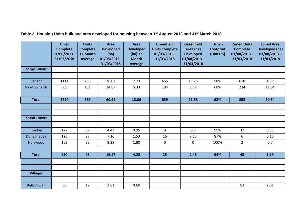<span id="page-10-0"></span>

|                    | <b>Units</b><br><b>Complete</b><br>$01/08/2013 -$<br>31/03/2018 | <b>Units</b><br><b>Complete</b><br>12 Month<br>Average | <b>Area</b><br><b>Developed</b><br>(ha)<br>01/08/2013 -<br>31/03/2018 | Area<br><b>Developed</b><br>$(ha)$ 12<br><b>Month</b><br><b>Average</b> | <b>Greenfield</b><br><b>Units Complete</b><br>$01/08/2013$ -<br>31/03/2018 | <b>Greenfield</b><br>Area (ha)<br><b>Developed</b><br>01/08/2013 -<br>31/03/2018 | <b>Urban</b><br><b>Footprint</b><br>(Units %) | <b>Zoned Units</b><br><b>Complete</b><br>01/08/2013 -<br>31/03/2018 | <b>Zoned Area</b><br>Developed (ha)<br>$01/08/2013$ -<br>31/03/2018 |
|--------------------|-----------------------------------------------------------------|--------------------------------------------------------|-----------------------------------------------------------------------|-------------------------------------------------------------------------|----------------------------------------------------------------------------|----------------------------------------------------------------------------------|-----------------------------------------------|---------------------------------------------------------------------|---------------------------------------------------------------------|
| <b>Large Towns</b> |                                                                 |                                                        |                                                                       |                                                                         |                                                                            |                                                                                  |                                               |                                                                     |                                                                     |
|                    |                                                                 |                                                        |                                                                       |                                                                         |                                                                            |                                                                                  |                                               |                                                                     |                                                                     |
| <b>Bangor</b>      | 1111                                                            | 238                                                    | 36.07                                                                 | 7.73                                                                    | 465                                                                        | 13.76                                                                            | 58%                                           | 618                                                                 | 18.9                                                                |
| Newtownards        | 609                                                             | 131                                                    | 24.87                                                                 | 5.33                                                                    | 194                                                                        | 9.82                                                                             | 68%                                           | 234                                                                 | 11.64                                                               |
|                    |                                                                 |                                                        |                                                                       |                                                                         |                                                                            |                                                                                  |                                               |                                                                     |                                                                     |
| <b>Total</b>       | 1720                                                            | 369                                                    | 60.94                                                                 | 13.06                                                                   | 659                                                                        | 23.58                                                                            | 62%                                           | 852                                                                 | 30.54                                                               |
|                    |                                                                 |                                                        |                                                                       |                                                                         |                                                                            |                                                                                  |                                               |                                                                     |                                                                     |
|                    |                                                                 |                                                        |                                                                       |                                                                         |                                                                            |                                                                                  |                                               |                                                                     |                                                                     |
| <b>Small Towns</b> |                                                                 |                                                        |                                                                       |                                                                         |                                                                            |                                                                                  |                                               |                                                                     |                                                                     |
|                    |                                                                 |                                                        |                                                                       |                                                                         |                                                                            |                                                                                  |                                               |                                                                     |                                                                     |
| Comber             | 172                                                             | 37                                                     | 4.43                                                                  | 0.95                                                                    | 9                                                                          | 0.3                                                                              | 95%                                           | 37                                                                  | 0.33                                                                |
| Donaghadee         | 126                                                             | 27                                                     | 7.16                                                                  | 1.53                                                                    | 16                                                                         | 2.15                                                                             | 87%                                           | 6                                                                   | 0.16                                                                |
| Holywood           | 152                                                             | 33                                                     | 8.38                                                                  | 1.80                                                                    | $\mathbf 0$                                                                | $\mathbf 0$                                                                      | 100%                                          | $\overline{2}$                                                      | 0.7                                                                 |
|                    |                                                                 |                                                        |                                                                       |                                                                         |                                                                            |                                                                                  |                                               |                                                                     |                                                                     |
| <b>Total</b>       | 450                                                             | 96                                                     | 19.97                                                                 | 4.28                                                                    | 25                                                                         | 2.45                                                                             | 94%                                           | 45                                                                  | 1.19                                                                |
|                    |                                                                 |                                                        |                                                                       |                                                                         |                                                                            |                                                                                  |                                               |                                                                     |                                                                     |
|                    |                                                                 |                                                        |                                                                       |                                                                         |                                                                            |                                                                                  |                                               |                                                                     |                                                                     |
| <b>Villages</b>    |                                                                 |                                                        |                                                                       |                                                                         |                                                                            |                                                                                  |                                               |                                                                     |                                                                     |
|                    |                                                                 |                                                        |                                                                       |                                                                         |                                                                            |                                                                                  |                                               |                                                                     |                                                                     |
| Ballygowan         | 58                                                              | 12                                                     | 2.81                                                                  | 0.60                                                                    |                                                                            |                                                                                  |                                               | 53                                                                  | 2.61                                                                |

**Table 2: Housing Units built and area developed for housing between 1st August 2013 and 31st March 2018.**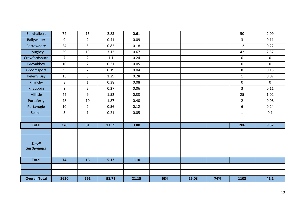| <b>Ballyhalbert</b>  | 72             | 15             | 2.83  | 0.61   |     |       |     | 50               | 2.09         |
|----------------------|----------------|----------------|-------|--------|-----|-------|-----|------------------|--------------|
| Ballywalter          | 9              | $2^{\circ}$    | 0.41  | 0.09   |     |       |     | $\mathbf{3}$     | 0.11         |
| Carrowdore           | 24             | 5              | 0.82  | 0.18   |     |       |     | 12               | 0.22         |
| Cloughey             | 59             | 13             | 3.12  | 0.67   |     |       |     | 42               | 2.57         |
| Crawfordsburn        | $\overline{7}$ | $2^{\circ}$    | 1.1   | 0.24   |     |       |     | $\boldsymbol{0}$ | $\mathbf 0$  |
| Greyabbey            | 10             | $2^{\circ}$    | 0.21  | 0.05   |     |       |     | $\mathbf 0$      | $\mathbf{0}$ |
| Groomsport           | 9              | $2^{\circ}$    | 0.19  | 0.04   |     |       |     | 8                | 0.15         |
| Helen's Bay          | 13             | $\overline{3}$ | 1.29  | 0.28   |     |       |     | $\mathbf 1$      | 0.07         |
| Killinchy            | $\overline{3}$ | $\mathbf{1}$   | 0.38  | 0.08   |     |       |     | $\pmb{0}$        | $\mathbf 0$  |
| Kircubbin            | 9              | $2^{\circ}$    | 0.27  | 0.06   |     |       |     | $\overline{3}$   | 0.11         |
| Millisle             | 42             | 9              | 1.52  | 0.33   |     |       |     | 25               | 1.02         |
| Portaferry           | 48             | 10             | 1.87  | 0.40   |     |       |     | $\overline{2}$   | 0.08         |
| Portavogie           | 10             | $2^{\circ}$    | 0.56  | 0.12   |     |       |     | 6                | 0.24         |
| Seahill              | $\overline{3}$ | $\mathbf{1}$   | 0.21  | 0.05   |     |       |     | $\mathbf{1}$     | 0.1          |
|                      |                |                |       |        |     |       |     |                  |              |
| <b>Total</b>         | 376            | 81             | 17.59 | 3.80   |     |       |     | 206              | 9.37         |
|                      |                |                |       |        |     |       |     |                  |              |
|                      |                |                |       |        |     |       |     |                  |              |
| <b>Small</b>         |                |                |       |        |     |       |     |                  |              |
| <b>Settlements</b>   |                |                |       |        |     |       |     |                  |              |
|                      |                |                |       |        |     |       |     |                  |              |
| <b>Total</b>         | 74             | 16             | 5.12  | $1.10$ |     |       |     |                  |              |
|                      |                |                |       |        |     |       |     |                  |              |
|                      |                |                |       |        |     |       |     |                  |              |
| <b>Overall Total</b> | 2620           | 561            | 98.71 | 21.15  | 684 | 26.03 | 74% | 1103             | 41.1         |